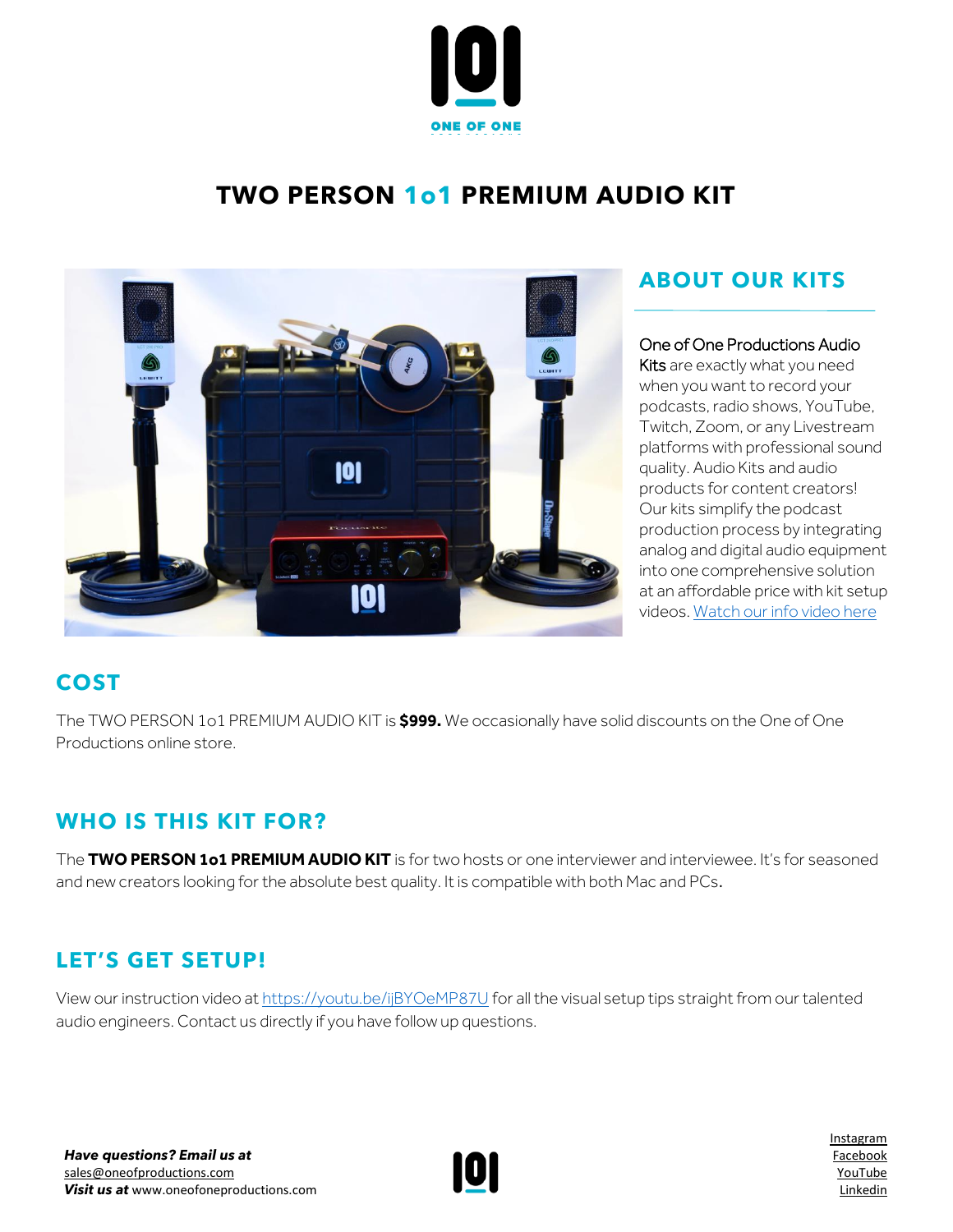

# **TWO PERSON 1o1 PREMIUM AUDIO KIT**



# **ABOUT OUR KITS**

#### One of One Productions Audio

Kits are exactly what you need when you want to record your podcasts, radio shows, YouTube, Twitch, Zoom, or any Livestream platforms with professional sound quality. Audio Kits and audio products for content creators! Our kits simplify the podcast production process by integrating analog and digital audio equipment into one comprehensive solution at an affordable price with kit setup videos[. Watch our info video here](https://www.youtube.com/watch?v=azt8UKdf2mI)

## **COST**

The TWO PERSON 1o1 PREMIUM AUDIO KIT is **\$999.** We occasionally have solid discounts on the One of One Productions online store.

### **WHO IS THIS KIT FOR?**

The **TWO PERSON 1o1 PREMIUM AUDIO KIT** is for two hosts or one interviewer and interviewee. It's for seasoned and new creators looking for the absolute best quality. It is compatible with both Mac and PCs.

## **LET'S GET SETUP!**

View our instruction video a[t https://youtu.be/ijBYOeMP87U](https://youtu.be/ijBYOeMP87U) for all the visual setup tips straight from our talented audio engineers. Contact us directly if you have follow up questions.



[Instagram](http://www.instagram.com/oneofoneprostudio) [Facebook](http://www.facebook.com/oneofoneprostudio) [YouTube](https://www.youtube.com/channel/UC7rXqaZ33g4xGBeQXeCHT7Q/videos) [Linkedin](http://www.linkedin.com/company/one-of-one-productions-studio/)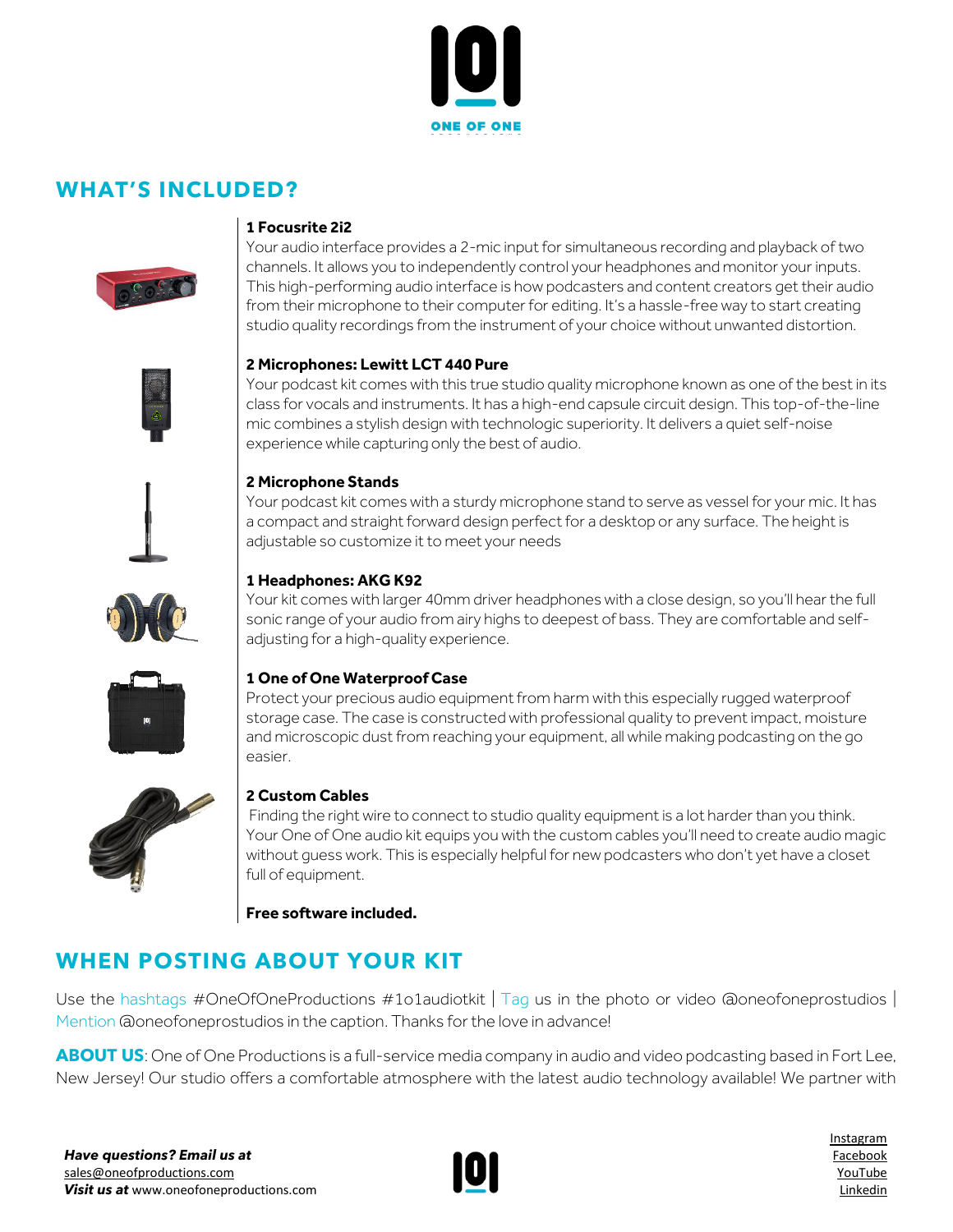

### **WHAT'S INCLUDED?**



#### **1 Focusrite 2i2**

Your audio interface provides a 2-mic input for simultaneous recording and playback of two channels. It allows you to independently control your headphones and monitor your inputs. This high-performing audio interface is how podcasters and content creators get their audio from their microphone to their computer for editing. It's a hassle-free way to start creating studio quality recordings from the instrument of your choice without unwanted distortion.

#### **2 Microphones: Lewitt LCT 440 Pure**

Your podcast kit comes with this true studio quality microphone known as one of the best in its class for vocals and instruments. It has a high-end capsule circuit design. This top-of-the-line mic combines a stylish design with technologic superiority. It delivers a quiet self-noise experience while capturing only the best of audio.



#### **2 Microphone Stands**

Your podcast kit comes with a sturdy microphone stand to serve as vessel for your mic. It has a compact and straight forward design perfect for a desktop or any surface. The height is adjustable so customize it to meet your needs



#### **1 Headphones: AKG K92**

Your kit comes with larger 40mm driver headphones with a close design, so you'll hear the full sonic range of your audio from airy highs to deepest of bass. They are comfortable and selfadjusting for a high-quality experience.



#### **1 One of One Waterproof Case**

Protect your precious audio equipment from harm with this especially rugged waterproof storage case. The case is constructed with professional quality to prevent impact, moisture and microscopic dust from reaching your equipment, all while making podcasting on the go easier.



#### **2 Custom Cables**

Finding the right wire to connect to studio quality equipment is a lot harder than you think. Your One of One audio kit equips you with the custom cables you'll need to create audio magic without guess work. This is especially helpful for new podcasters who don't yet have a closet full of equipment.

**Free software included.**

### **WHEN POSTING ABOUT YOUR KIT**

Use the hashtags #OneOfOneProductions #1o1audiotkit  $\vert$  Tag us in the photo or video @oneofoneprostudios  $\vert$ Mention @oneofoneprostudios in the caption. Thanks for the love in advance!

**ABOUT US**: One of One Productions is a full-service media company in audio and video podcasting based in Fort Lee, New Jersey! Our studio offers a comfortable atmosphere with the latest audio technology available! We partner with